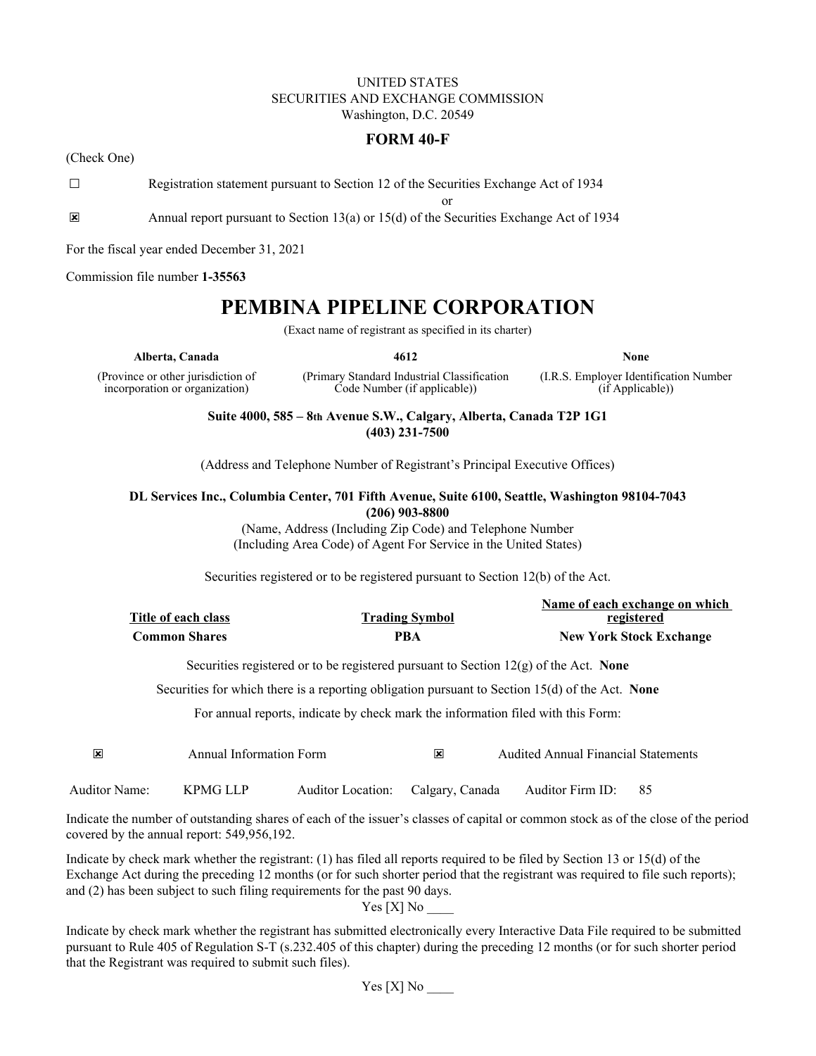# UNITED STATES SECURITIES AND EXCHANGE COMMISSION Washington, D.C. 20549

# **FORM 40-F**

(Check One)

☐ Registration statement pursuant to Section 12 of the Securities Exchange Act of 1934

or

☒ Annual report pursuant to Section 13(a) or 15(d) of the Securities Exchange Act of 1934

For the fiscal year ended December 31, 2021

Commission file number **1-35563**

# **PEMBINA PIPELINE CORPORATION**

(Exact name of registrant as specified in its charter)

**Alberta, Canada 4612 None**

(Province or other jurisdiction of incorporation or organization)

(Primary Standard Industrial Classification Code Number (if applicable))

(I.R.S. Employer Identification Number (if Applicable))

**Suite 4000, 585 – 8th Avenue S.W., Calgary, Alberta, Canada T2P 1G1 (403) 231-7500**

(Address and Telephone Number of Registrant's Principal Executive Offices)

# **DL Services Inc., Columbia Center, 701 Fifth Avenue, Suite 6100, Seattle, Washington 98104-7043 (206) 903-8800**

(Name, Address (Including Zip Code) and Telephone Number (Including Area Code) of Agent For Service in the United States)

Securities registered or to be registered pursuant to Section 12(b) of the Act.

|                      |                       | Name of each exchange on which |
|----------------------|-----------------------|--------------------------------|
| Title of each class  | <b>Trading Symbol</b> | registered                     |
| <b>Common Shares</b> | <b>PBA</b>            | <b>New York Stock Exchange</b> |

Securities registered or to be registered pursuant to Section 12(g) of the Act. **None**

Securities for which there is a reporting obligation pursuant to Section 15(d) of the Act. **None**

For annual reports, indicate by check mark the information filed with this Form:

| $\overline{\mathbf{x}}$ | Annual Information Form | x | <b>Audited Annual Financial Statements</b> |
|-------------------------|-------------------------|---|--------------------------------------------|
|                         |                         |   |                                            |

Auditor Name: KPMG LLP Auditor Location: Calgary, Canada Auditor Firm ID: 85

Indicate the number of outstanding shares of each of the issuer's classes of capital or common stock as of the close of the period covered by the annual report: 549,956,192.

Indicate by check mark whether the registrant: (1) has filed all reports required to be filed by Section 13 or 15(d) of the Exchange Act during the preceding 12 months (or for such shorter period that the registrant was required to file such reports); and (2) has been subject to such filing requirements for the past 90 days.

 $Yes[X] No$ 

Indicate by check mark whether the registrant has submitted electronically every Interactive Data File required to be submitted pursuant to Rule 405 of Regulation S-T (s.232.405 of this chapter) during the preceding 12 months (or for such shorter period that the Registrant was required to submit such files).

 $Yes [X] No$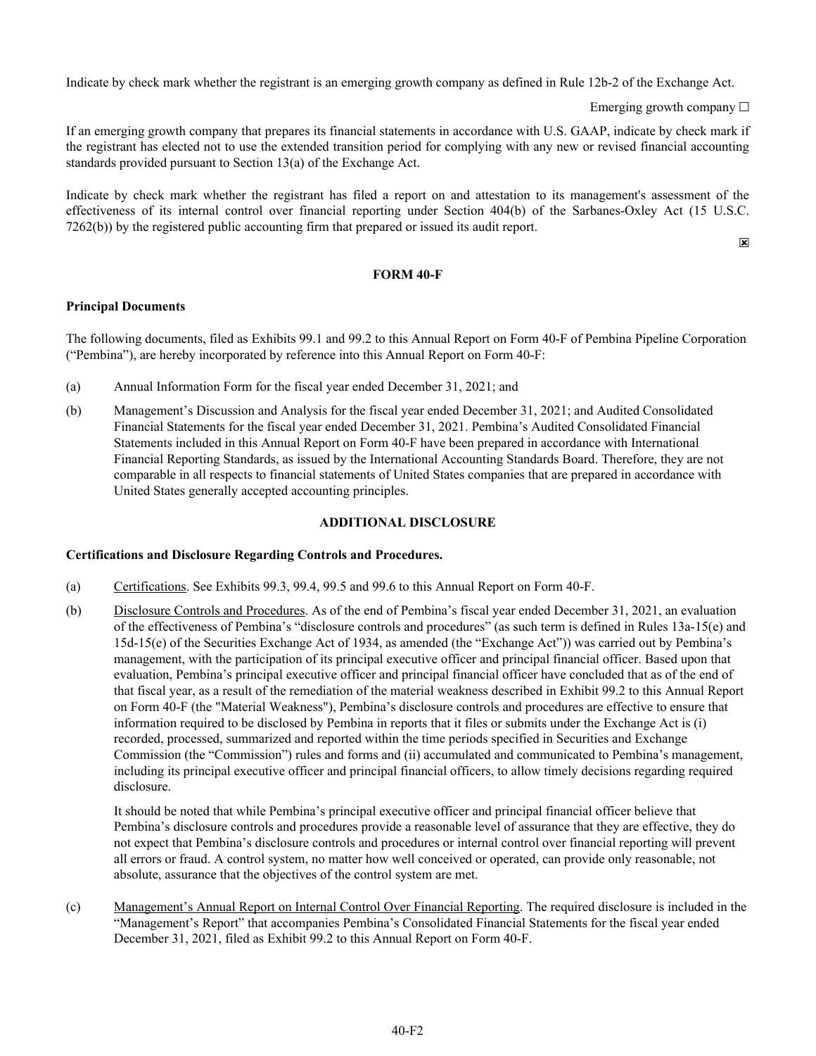Indicate by check mark whether the registrant is an emerging growth company as defined in Rule 12b-2 of the Exchange Act.

Emerging growth company  $\Box$ 

If an emerging growth company that prepares its financial statements in accordance with U.S. GAAP, indicate by check mark if the registrant has elected not to use the extended transition period for complying with any new or revised financial accounting standards provided pursuant to Section 13(a) of the Exchange Act.

Indicate by check mark whether the registrant has filed a report on and attestation to its management's assessment of the effectiveness of its internal control over financial reporting under Section 404(b) of the Sarbanes-Oxley Act (15 U.S.C. 7262(b)) by the registered public accounting firm that prepared or issued its audit report.

☒

# **FORM 40-F**

# **Principal Documents**

The following documents, filed as Exhibits 99.1 and 99.2 to this Annual Report on Form 40-F of Pembina Pipeline Corporation ("Pembina"), are hereby incorporated by reference into this Annual Report on Form 40-F:

- (a) Annual Information Form for the fiscal year ended December 31, 2021; and
- (b) Management's Discussion and Analysis for the fiscal year ended December 31, 2021; and Audited Consolidated Financial Statements for the fiscal year ended December 31, 2021. Pembina's Audited Consolidated Financial Statements included in this Annual Report on Form 40-F have been prepared in accordance with International Financial Reporting Standards, as issued by the International Accounting Standards Board. Therefore, they are not comparable in all respects to financial statements of United States companies that are prepared in accordance with United States generally accepted accounting principles.

# **ADDITIONAL DISCLOSURE**

# **Certifications and Disclosure Regarding Controls and Procedures.**

- (a) Certifications. See Exhibits 99.3, 99.4, 99.5 and 99.6 to this Annual Report on Form 40-F.
- (b) Disclosure Controls and Procedures. As of the end of Pembina's fiscal year ended December 31, 2021, an evaluation of the effectiveness of Pembina's "disclosure controls and procedures" (as such term is defined in Rules 13a-15(e) and 15d-15(e) of the Securities Exchange Act of 1934, as amended (the "Exchange Act")) was carried out by Pembina's management, with the participation of its principal executive officer and principal financial officer. Based upon that evaluation, Pembina's principal executive officer and principal financial officer have concluded that as of the end of that fiscal year, as a result of the remediation of the material weakness described in Exhibit 99.2 to this Annual Report on Form 40-F (the "Material Weakness"), Pembina's disclosure controls and procedures are effective to ensure that information required to be disclosed by Pembina in reports that it files or submits under the Exchange Act is (i) recorded, processed, summarized and reported within the time periods specified in Securities and Exchange Commission (the "Commission") rules and forms and (ii) accumulated and communicated to Pembina's management, including its principal executive officer and principal financial officers, to allow timely decisions regarding required disclosure.

It should be noted that while Pembina's principal executive officer and principal financial officer believe that Pembina's disclosure controls and procedures provide a reasonable level of assurance that they are effective, they do not expect that Pembina's disclosure controls and procedures or internal control over financial reporting will prevent all errors or fraud. A control system, no matter how well conceived or operated, can provide only reasonable, not absolute, assurance that the objectives of the control system are met.

(c) Management's Annual Report on Internal Control Over Financial Reporting. The required disclosure is included in the "Management's Report" that accompanies Pembina's Consolidated Financial Statements for the fiscal year ended December 31, 2021, filed as Exhibit 99.2 to this Annual Report on Form 40-F.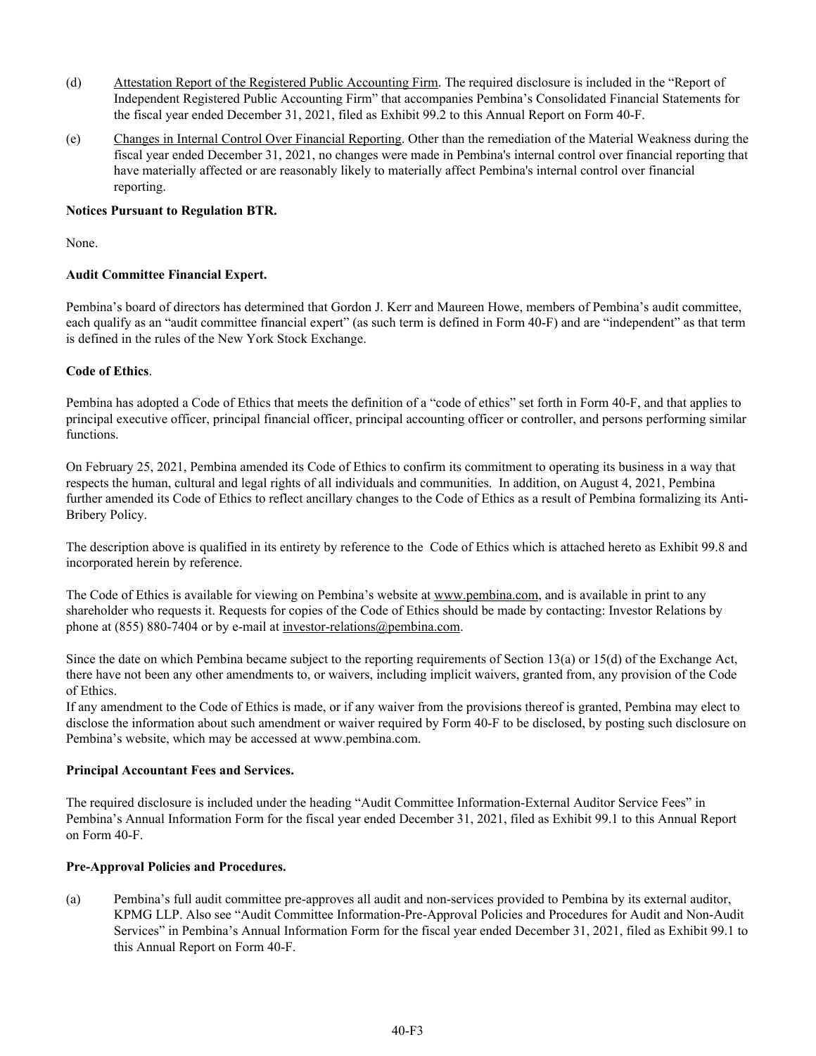- (d) Attestation Report of the Registered Public Accounting Firm. The required disclosure is included in the "Report of Independent Registered Public Accounting Firm" that accompanies Pembina's Consolidated Financial Statements for the fiscal year ended December 31, 2021, filed as Exhibit 99.2 to this Annual Report on Form 40-F.
- (e) Changes in Internal Control Over Financial Reporting. Other than the remediation of the Material Weakness during the fiscal year ended December 31, 2021, no changes were made in Pembina's internal control over financial reporting that have materially affected or are reasonably likely to materially affect Pembina's internal control over financial reporting.

## **Notices Pursuant to Regulation BTR.**

None.

# **Audit Committee Financial Expert.**

Pembina's board of directors has determined that Gordon J. Kerr and Maureen Howe, members of Pembina's audit committee, each qualify as an "audit committee financial expert" (as such term is defined in Form 40-F) and are "independent" as that term is defined in the rules of the New York Stock Exchange.

#### **Code of Ethics**.

Pembina has adopted a Code of Ethics that meets the definition of a "code of ethics" set forth in Form 40-F, and that applies to principal executive officer, principal financial officer, principal accounting officer or controller, and persons performing similar functions.

On February 25, 2021, Pembina amended its Code of Ethics to confirm its commitment to operating its business in a way that respects the human, cultural and legal rights of all individuals and communities. In addition, on August 4, 2021, Pembina further amended its Code of Ethics to reflect ancillary changes to the Code of Ethics as a result of Pembina formalizing its Anti-Bribery Policy.

The description above is qualified in its entirety by reference to the Code of Ethics which is attached hereto as Exhibit 99.8 and incorporated herein by reference.

The Code of Ethics is available for viewing on Pembina's website at www.pembina.com, and is available in print to any shareholder who requests it. Requests for copies of the Code of Ethics should be made by contacting: Investor Relations by phone at (855) 880-7404 or by e-mail at investor-relations@pembina.com.

Since the date on which Pembina became subject to the reporting requirements of Section 13(a) or 15(d) of the Exchange Act, there have not been any other amendments to, or waivers, including implicit waivers, granted from, any provision of the Code of Ethics.

If any amendment to the Code of Ethics is made, or if any waiver from the provisions thereof is granted, Pembina may elect to disclose the information about such amendment or waiver required by Form 40-F to be disclosed, by posting such disclosure on Pembina's website, which may be accessed at www.pembina.com.

#### **Principal Accountant Fees and Services.**

The required disclosure is included under the heading "Audit Committee Information-External Auditor Service Fees" in Pembina's Annual Information Form for the fiscal year ended December 31, 2021, filed as Exhibit 99.1 to this Annual Report on Form 40-F.

# **Pre-Approval Policies and Procedures.**

(a) Pembina's full audit committee pre-approves all audit and non-services provided to Pembina by its external auditor, KPMG LLP. Also see "Audit Committee Information-Pre-Approval Policies and Procedures for Audit and Non-Audit Services" in Pembina's Annual Information Form for the fiscal year ended December 31, 2021, filed as Exhibit 99.1 to this Annual Report on Form 40-F.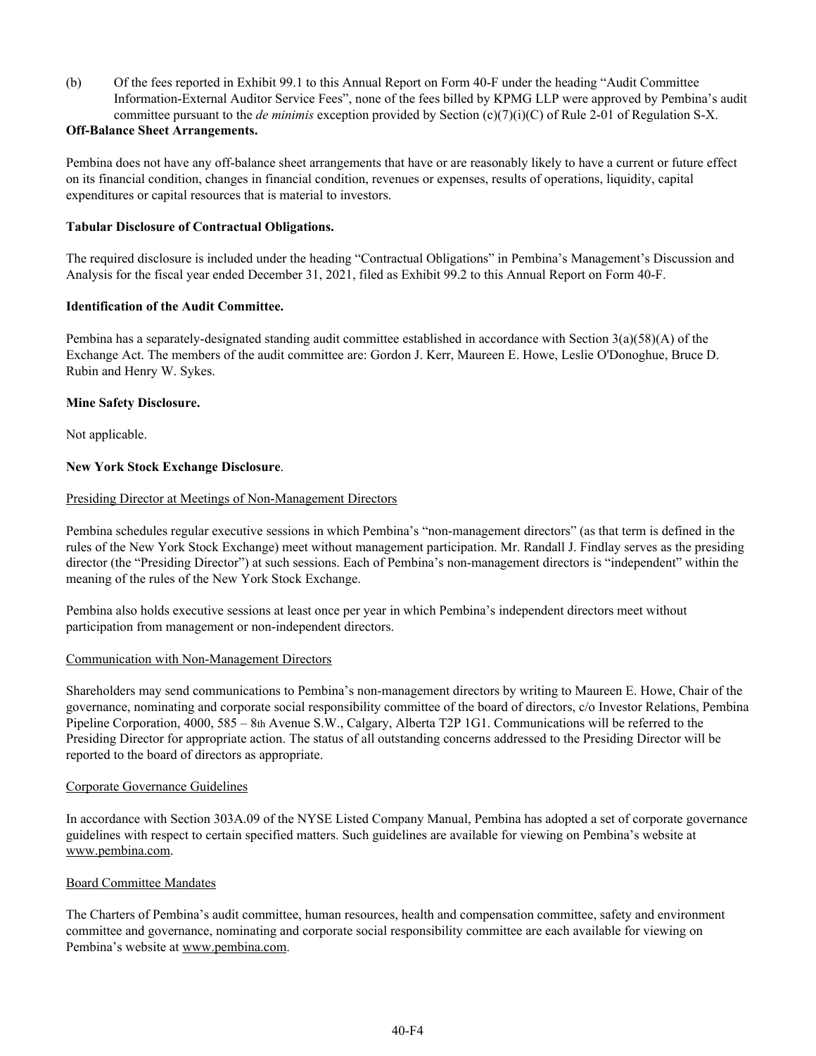(b) Of the fees reported in Exhibit 99.1 to this Annual Report on Form 40-F under the heading "Audit Committee Information-External Auditor Service Fees", none of the fees billed by KPMG LLP were approved by Pembina's audit committee pursuant to the *de minimis* exception provided by Section (c)(7)(i)(C) of Rule 2-01 of Regulation S-X.

# **Off-Balance Sheet Arrangements.**

Pembina does not have any off-balance sheet arrangements that have or are reasonably likely to have a current or future effect on its financial condition, changes in financial condition, revenues or expenses, results of operations, liquidity, capital expenditures or capital resources that is material to investors.

# **Tabular Disclosure of Contractual Obligations.**

The required disclosure is included under the heading "Contractual Obligations" in Pembina's Management's Discussion and Analysis for the fiscal year ended December 31, 2021, filed as Exhibit 99.2 to this Annual Report on Form 40-F.

#### **Identification of the Audit Committee.**

Pembina has a separately-designated standing audit committee established in accordance with Section  $3(a)(58)(A)$  of the Exchange Act. The members of the audit committee are: Gordon J. Kerr, Maureen E. Howe, Leslie O'Donoghue, Bruce D. Rubin and Henry W. Sykes.

#### **Mine Safety Disclosure.**

Not applicable.

# **New York Stock Exchange Disclosure**.

#### Presiding Director at Meetings of Non-Management Directors

Pembina schedules regular executive sessions in which Pembina's "non-management directors" (as that term is defined in the rules of the New York Stock Exchange) meet without management participation. Mr. Randall J. Findlay serves as the presiding director (the "Presiding Director") at such sessions. Each of Pembina's non-management directors is "independent" within the meaning of the rules of the New York Stock Exchange.

Pembina also holds executive sessions at least once per year in which Pembina's independent directors meet without participation from management or non-independent directors.

#### Communication with Non-Management Directors

Shareholders may send communications to Pembina's non-management directors by writing to Maureen E. Howe, Chair of the governance, nominating and corporate social responsibility committee of the board of directors, c/o Investor Relations, Pembina Pipeline Corporation, 4000, 585 – 8th Avenue S.W., Calgary, Alberta T2P 1G1. Communications will be referred to the Presiding Director for appropriate action. The status of all outstanding concerns addressed to the Presiding Director will be reported to the board of directors as appropriate.

#### Corporate Governance Guidelines

In accordance with Section 303A.09 of the NYSE Listed Company Manual, Pembina has adopted a set of corporate governance guidelines with respect to certain specified matters. Such guidelines are available for viewing on Pembina's website at www.pembina.com.

#### Board Committee Mandates

The Charters of Pembina's audit committee, human resources, health and compensation committee, safety and environment committee and governance, nominating and corporate social responsibility committee are each available for viewing on Pembina's website at www.pembina.com.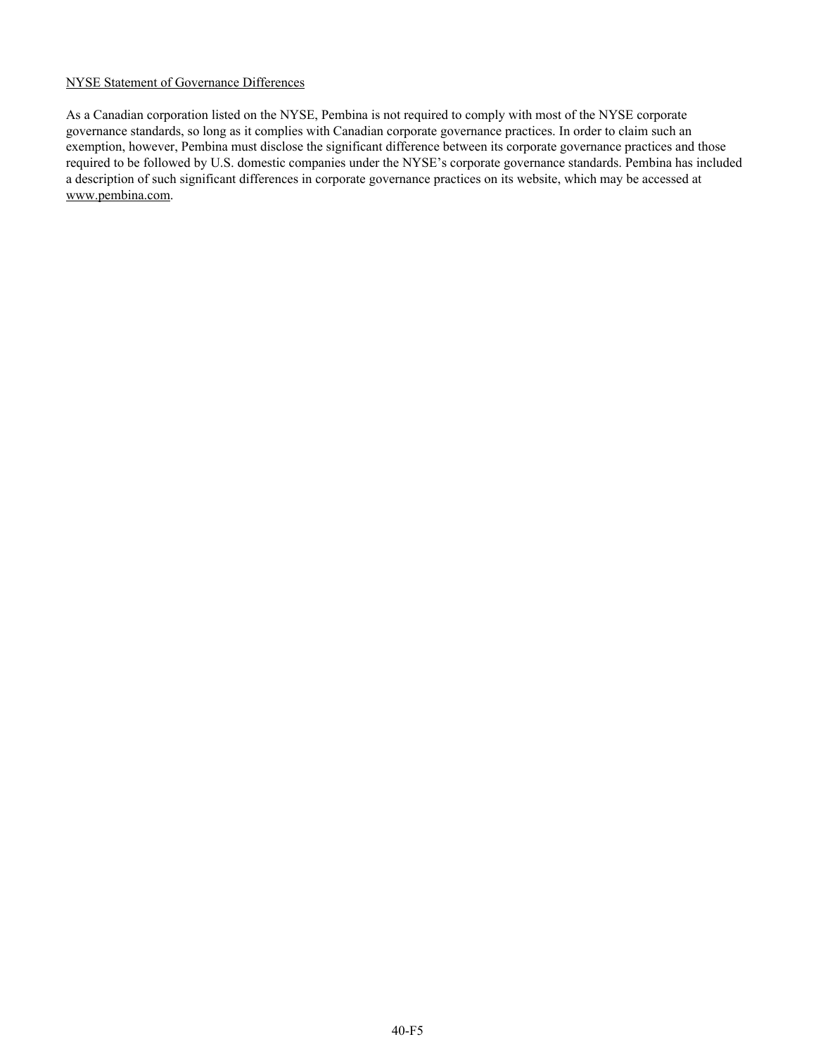# NYSE Statement of Governance Differences

As a Canadian corporation listed on the NYSE, Pembina is not required to comply with most of the NYSE corporate governance standards, so long as it complies with Canadian corporate governance practices. In order to claim such an exemption, however, Pembina must disclose the significant difference between its corporate governance practices and those required to be followed by U.S. domestic companies under the NYSE's corporate governance standards. Pembina has included a description of such significant differences in corporate governance practices on its website, which may be accessed at www.pembina.com.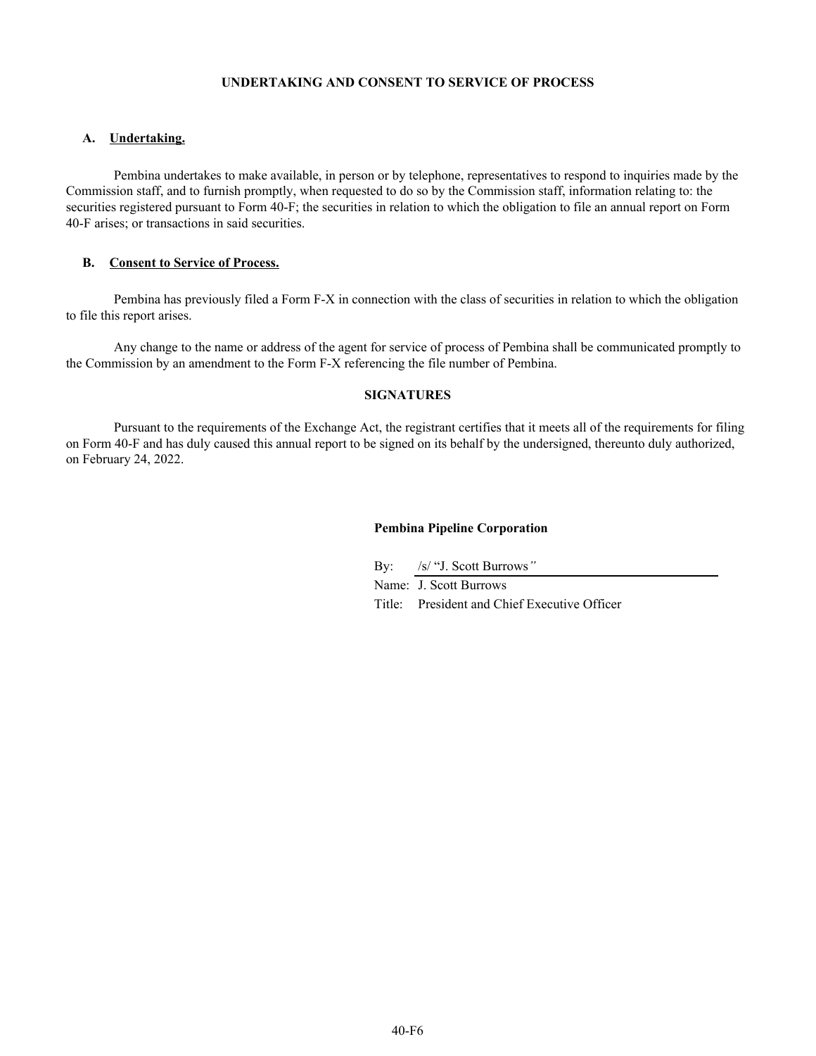#### **UNDERTAKING AND CONSENT TO SERVICE OF PROCESS**

#### **A. Undertaking.**

Pembina undertakes to make available, in person or by telephone, representatives to respond to inquiries made by the Commission staff, and to furnish promptly, when requested to do so by the Commission staff, information relating to: the securities registered pursuant to Form 40-F; the securities in relation to which the obligation to file an annual report on Form 40-F arises; or transactions in said securities.

# **B. Consent to Service of Process.**

Pembina has previously filed a Form F-X in connection with the class of securities in relation to which the obligation to file this report arises.

Any change to the name or address of the agent for service of process of Pembina shall be communicated promptly to the Commission by an amendment to the Form F-X referencing the file number of Pembina.

# **SIGNATURES**

Pursuant to the requirements of the Exchange Act, the registrant certifies that it meets all of the requirements for filing on Form 40-F and has duly caused this annual report to be signed on its behalf by the undersigned, thereunto duly authorized, on February 24, 2022.

## **Pembina Pipeline Corporation**

By: /s/ "J. Scott Burrows*"*

Name: J. Scott Burrows

Title: President and Chief Executive Officer